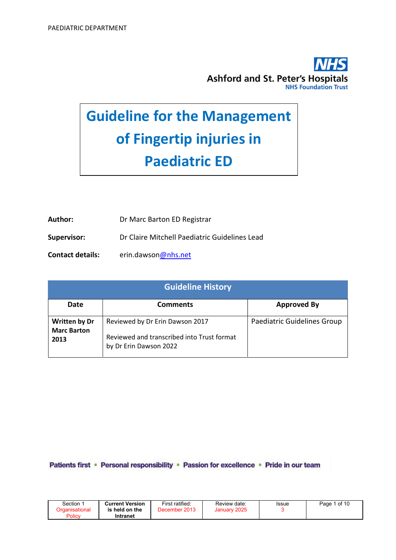

# Guideline for the Management of Fingertip injuries in Paediatric ED

| Author:                 | Dr Marc Barton ED Registrar                   |
|-------------------------|-----------------------------------------------|
| <b>Supervisor:</b>      | Dr Claire Mitchell Paediatric Guidelines Lead |
| <b>Contact details:</b> | erin.dawson@nhs.net                           |

| <b>Guideline History</b>                           |                                                                                                         |                             |  |  |  |  |
|----------------------------------------------------|---------------------------------------------------------------------------------------------------------|-----------------------------|--|--|--|--|
| Date                                               | <b>Comments</b>                                                                                         | <b>Approved By</b>          |  |  |  |  |
| <b>Written by Dr</b><br><b>Marc Barton</b><br>2013 | Reviewed by Dr Erin Dawson 2017<br>Reviewed and transcribed into Trust format<br>by Dr Erin Dawson 2022 | Paediatric Guidelines Group |  |  |  |  |

Patients first · Personal responsibility · Passion for excellence · Pride in our team

| Section | <b>Current Version</b>        | First ratified:   | Review date:    | Issue | 1 of 10<br>Page |
|---------|-------------------------------|-------------------|-----------------|-------|-----------------|
| Policy  | held on the<br>is<br>Intranet | 2013<br>December' | 2025<br>January |       |                 |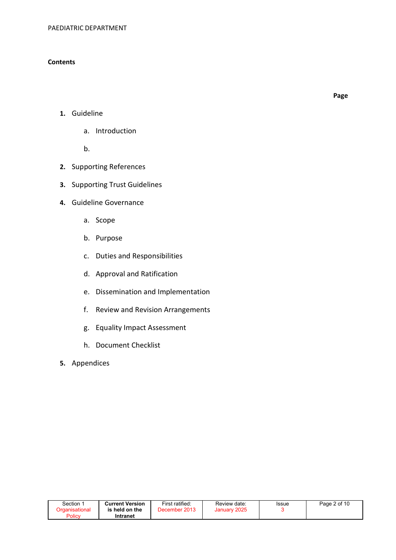## **Contents**

Page

- 1. Guideline
	- a. Introduction

b.

- 2. Supporting References
- 3. Supporting Trust Guidelines
- 4. Guideline Governance
	- a. Scope
	- b. Purpose
	- c. Duties and Responsibilities
	- d. Approval and Ratification
	- e. Dissemination and Implementation
	- f. Review and Revision Arrangements
	- g. Equality Impact Assessment
	- h. Document Checklist
- 5. Appendices

| Section $\, \dot{} \,$ | <b>Current Version</b> | First ratified: | Review date: | Issue | Page 2 of 10 |
|------------------------|------------------------|-----------------|--------------|-------|--------------|
| Organisational         | is held on the         | December 2013   | January 2025 |       |              |
| Policy                 | Intranet               |                 |              |       |              |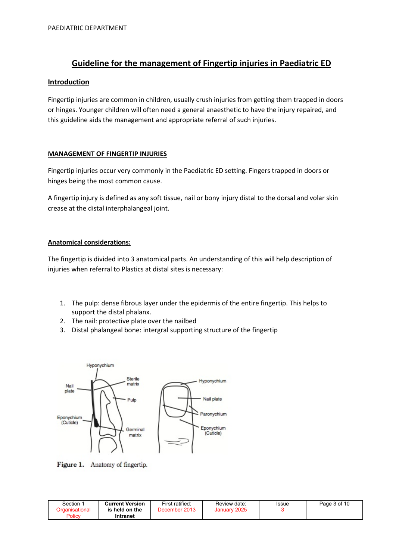# Guideline for the management of Fingertip injuries in Paediatric ED

## **Introduction**

Fingertip injuries are common in children, usually crush injuries from getting them trapped in doors or hinges. Younger children will often need a general anaesthetic to have the injury repaired, and this guideline aids the management and appropriate referral of such injuries.

## MANAGEMENT OF FINGERTIP INJURIES

Fingertip injuries occur very commonly in the Paediatric ED setting. Fingers trapped in doors or hinges being the most common cause.

A fingertip injury is defined as any soft tissue, nail or bony injury distal to the dorsal and volar skin crease at the distal interphalangeal joint.

## Anatomical considerations:

The fingertip is divided into 3 anatomical parts. An understanding of this will help description of injuries when referral to Plastics at distal sites is necessary:

- 1. The pulp: dense fibrous layer under the epidermis of the entire fingertip. This helps to support the distal phalanx.
- 2. The nail: protective plate over the nailbed
- 3. Distal phalangeal bone: intergral supporting structure of the fingertip



Figure 1. Anatomy of fingertip.

| Section        | <b>Current Version</b> | First ratified: | Review date:                 | Issue | Page 3 of 10 |
|----------------|------------------------|-----------------|------------------------------|-------|--------------|
| Drɑanisational | is held on the         | December 2013   | 2025<br>January <sup>*</sup> |       |              |
| Policy         | Intranet               |                 |                              |       |              |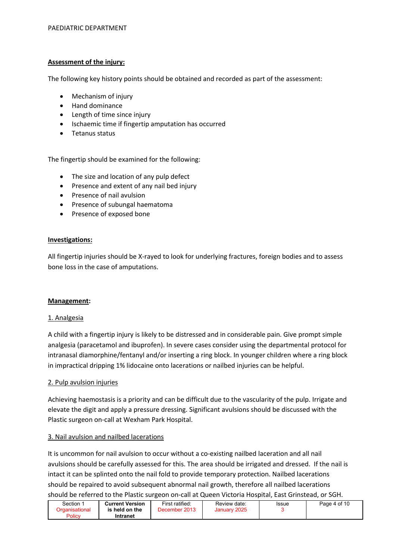## Assessment of the injury:

The following key history points should be obtained and recorded as part of the assessment:

- Mechanism of injury
- Hand dominance
- Length of time since injury
- Ischaemic time if fingertip amputation has occurred
- Tetanus status

The fingertip should be examined for the following:

- The size and location of any pulp defect
- Presence and extent of any nail bed injury
- Presence of nail avulsion
- Presence of subungal haematoma
- Presence of exposed bone

## Investigations:

All fingertip injuries should be X-rayed to look for underlying fractures, foreign bodies and to assess bone loss in the case of amputations.

## Management:

#### 1. Analgesia

A child with a fingertip injury is likely to be distressed and in considerable pain. Give prompt simple analgesia (paracetamol and ibuprofen). In severe cases consider using the departmental protocol for intranasal diamorphine/fentanyl and/or inserting a ring block. In younger children where a ring block in impractical dripping 1% lidocaine onto lacerations or nailbed injuries can be helpful.

## 2. Pulp avulsion injuries

Achieving haemostasis is a priority and can be difficult due to the vascularity of the pulp. Irrigate and elevate the digit and apply a pressure dressing. Significant avulsions should be discussed with the Plastic surgeon on-call at Wexham Park Hospital.

## 3. Nail avulsion and nailbed lacerations

It is uncommon for nail avulsion to occur without a co-existing nailbed laceration and all nail avulsions should be carefully assessed for this. The area should be irrigated and dressed. If the nail is intact it can be splinted onto the nail fold to provide temporary protection. Nailbed lacerations should be repaired to avoid subsequent abnormal nail growth, therefore all nailbed lacerations should be referred to the Plastic surgeon on-call at Queen Victoria Hospital, East Grinstead, or SGH.

| Section $\, \dot{} \,$ | <b>Current Version</b>     | First ratified: | Review date: | Issue | Page 4 of 10 |
|------------------------|----------------------------|-----------------|--------------|-------|--------------|
| Policy                 | is held on the<br>Intranet | December 2013   | January 2025 |       |              |
|                        |                            |                 |              |       |              |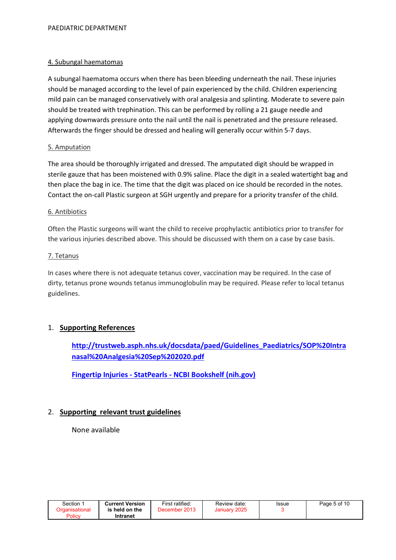## 4. Subungal haematomas

A subungal haematoma occurs when there has been bleeding underneath the nail. These injuries should be managed according to the level of pain experienced by the child. Children experiencing mild pain can be managed conservatively with oral analgesia and splinting. Moderate to severe pain should be treated with trephination. This can be performed by rolling a 21 gauge needle and applying downwards pressure onto the nail until the nail is penetrated and the pressure released. Afterwards the finger should be dressed and healing will generally occur within 5-7 days.

## 5. Amputation

The area should be thoroughly irrigated and dressed. The amputated digit should be wrapped in sterile gauze that has been moistened with 0.9% saline. Place the digit in a sealed watertight bag and then place the bag in ice. The time that the digit was placed on ice should be recorded in the notes. Contact the on-call Plastic surgeon at SGH urgently and prepare for a priority transfer of the child.

## 6. Antibiotics

Often the Plastic surgeons will want the child to receive prophylactic antibiotics prior to transfer for the various injuries described above. This should be discussed with them on a case by case basis.

## 7. Tetanus

In cases where there is not adequate tetanus cover, vaccination may be required. In the case of dirty, tetanus prone wounds tetanus immunoglobulin may be required. Please refer to local tetanus guidelines.

## 1. Supporting References

http://trustweb.asph.nhs.uk/docsdata/paed/Guidelines\_Paediatrics/SOP%20Intra nasal%20Analgesia%20Sep%202020.pdf

Fingertip Injuries - StatPearls - NCBI Bookshelf (nih.gov)

## 2. Supporting relevant trust guidelines

None available

| Section        | <b>Current Version</b> | First ratified: | Review date: | Issue | Page 5 of 10 |
|----------------|------------------------|-----------------|--------------|-------|--------------|
| Organisational | is held on the         | December 2013   | January 2025 |       |              |
| Policy         | Intranet               |                 |              |       |              |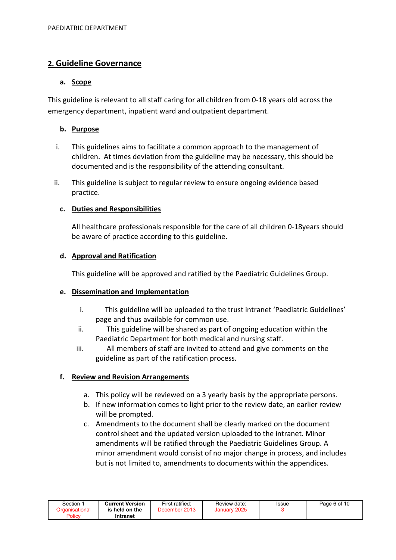## 2. Guideline Governance

## a. Scope

This guideline is relevant to all staff caring for all children from 0-18 years old across the emergency department, inpatient ward and outpatient department.

## b. Purpose

- i. This guidelines aims to facilitate a common approach to the management of children. At times deviation from the guideline may be necessary, this should be documented and is the responsibility of the attending consultant.
- ii. This guideline is subject to regular review to ensure ongoing evidence based practice.

## c. Duties and Responsibilities

All healthcare professionals responsible for the care of all children 0-18years should be aware of practice according to this guideline.

## d. Approval and Ratification

This guideline will be approved and ratified by the Paediatric Guidelines Group.

## e. Dissemination and Implementation

- i. This guideline will be uploaded to the trust intranet 'Paediatric Guidelines' page and thus available for common use.
- ii. This guideline will be shared as part of ongoing education within the Paediatric Department for both medical and nursing staff.
- iii. All members of staff are invited to attend and give comments on the guideline as part of the ratification process.

## f. Review and Revision Arrangements

- a. This policy will be reviewed on a 3 yearly basis by the appropriate persons.
- b. If new information comes to light prior to the review date, an earlier review will be prompted.
- c. Amendments to the document shall be clearly marked on the document control sheet and the updated version uploaded to the intranet. Minor amendments will be ratified through the Paediatric Guidelines Group. A minor amendment would consist of no major change in process, and includes but is not limited to, amendments to documents within the appendices.

| Section        | <b>Current Version</b> | First ratified: | Review date: | Issue | Page 6 of 10 |
|----------------|------------------------|-----------------|--------------|-------|--------------|
| Organisational | is held on the         | December 2013   | January 2025 |       |              |
| Policy         | Intranet               |                 |              |       |              |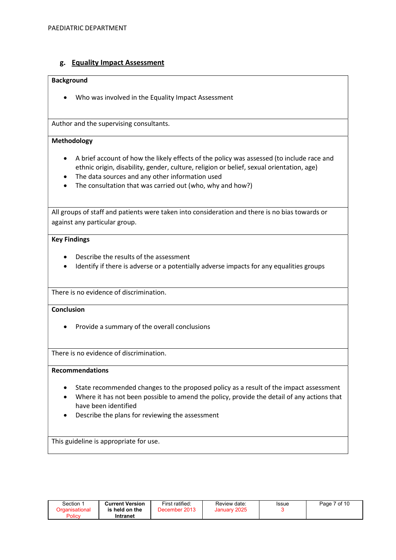## g. Equality Impact Assessment

#### Background

Who was involved in the Equality Impact Assessment

Author and the supervising consultants.

#### Methodology

- A brief account of how the likely effects of the policy was assessed (to include race and ethnic origin, disability, gender, culture, religion or belief, sexual orientation, age)
- The data sources and any other information used
- The consultation that was carried out (who, why and how?)

All groups of staff and patients were taken into consideration and there is no bias towards or against any particular group.

#### Key Findings

- Describe the results of the assessment
- Identify if there is adverse or a potentially adverse impacts for any equalities groups

There is no evidence of discrimination.

## **Conclusion**

• Provide a summary of the overall conclusions

There is no evidence of discrimination.

#### Recommendations

- State recommended changes to the proposed policy as a result of the impact assessment
- Where it has not been possible to amend the policy, provide the detail of any actions that have been identified
- Describe the plans for reviewing the assessment

This guideline is appropriate for use.

| Section ∶<br>⊃rɑanisational | <b>Current Version</b><br>is held on the | First ratified:<br>December 2013 | Review date:<br>January 2025 | Issue | Page 7 of 10 |
|-----------------------------|------------------------------------------|----------------------------------|------------------------------|-------|--------------|
| Policy                      | Intranet                                 |                                  |                              |       |              |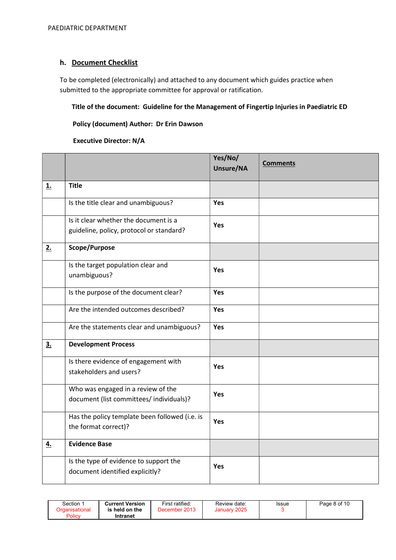## h. Document Checklist

To be completed (electronically) and attached to any document which guides practice when submitted to the appropriate committee for approval or ratification.

## Title of the document: Guideline for the Management of Fingertip Injuries in Paediatric ED

## Policy (document) Author: Dr Erin Dawson

#### Executive Director: N/A

|           |                                                                                   | Yes/No/<br>Unsure/NA | <b>Comments</b> |
|-----------|-----------------------------------------------------------------------------------|----------------------|-----------------|
| <b>1.</b> | <b>Title</b>                                                                      |                      |                 |
|           | Is the title clear and unambiguous?                                               | Yes                  |                 |
|           | Is it clear whether the document is a<br>guideline, policy, protocol or standard? | <b>Yes</b>           |                 |
| 2.        | Scope/Purpose                                                                     |                      |                 |
|           | Is the target population clear and<br>unambiguous?                                | <b>Yes</b>           |                 |
|           | Is the purpose of the document clear?                                             | Yes                  |                 |
|           | Are the intended outcomes described?                                              | <b>Yes</b>           |                 |
|           | Are the statements clear and unambiguous?                                         | Yes                  |                 |
| 3.        | <b>Development Process</b>                                                        |                      |                 |
|           | Is there evidence of engagement with<br>stakeholders and users?                   | Yes                  |                 |
|           | Who was engaged in a review of the<br>document (list committees/ individuals)?    | <b>Yes</b>           |                 |
|           | Has the policy template been followed (i.e. is<br>the format correct)?            | <b>Yes</b>           |                 |
| <u>4.</u> | <b>Evidence Base</b>                                                              |                      |                 |
|           | Is the type of evidence to support the<br>document identified explicitly?         | Yes                  |                 |

| <b>Current Version</b><br>Section 1<br>Organisational<br>is held on the<br>Policy<br>Intranet | First ratified:<br>December 2013 | Review date:<br>January 2025 | <b>Issue</b> | Page 8 of 10 |
|-----------------------------------------------------------------------------------------------|----------------------------------|------------------------------|--------------|--------------|
|-----------------------------------------------------------------------------------------------|----------------------------------|------------------------------|--------------|--------------|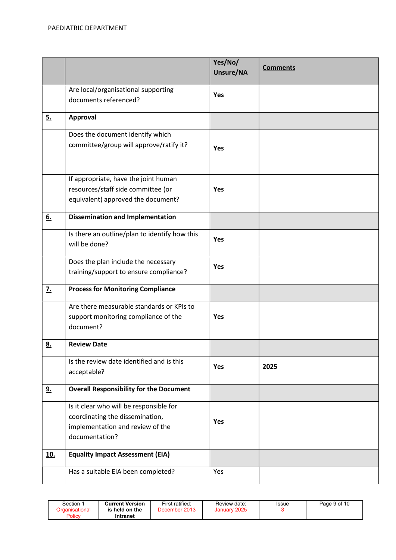|                  |                                                                                                                                  | Yes/No/<br>Unsure/NA | <b>Comments</b> |
|------------------|----------------------------------------------------------------------------------------------------------------------------------|----------------------|-----------------|
|                  | Are local/organisational supporting<br>documents referenced?                                                                     | <b>Yes</b>           |                 |
| 5.               | Approval                                                                                                                         |                      |                 |
|                  | Does the document identify which<br>committee/group will approve/ratify it?                                                      | Yes                  |                 |
|                  | If appropriate, have the joint human<br>resources/staff side committee (or<br>equivalent) approved the document?                 | <b>Yes</b>           |                 |
| 6.               | <b>Dissemination and Implementation</b>                                                                                          |                      |                 |
|                  | Is there an outline/plan to identify how this<br>will be done?                                                                   | <b>Yes</b>           |                 |
|                  | Does the plan include the necessary<br>training/support to ensure compliance?                                                    | <b>Yes</b>           |                 |
| $\overline{z}$ . | <b>Process for Monitoring Compliance</b>                                                                                         |                      |                 |
|                  | Are there measurable standards or KPIs to<br>support monitoring compliance of the<br>document?                                   | <b>Yes</b>           |                 |
| <u>8.</u>        | <b>Review Date</b>                                                                                                               |                      |                 |
|                  | Is the review date identified and is this<br>acceptable?                                                                         | <b>Yes</b>           | 2025            |
| <u>9.</u>        | <b>Overall Responsibility for the Document</b>                                                                                   |                      |                 |
|                  | Is it clear who will be responsible for<br>coordinating the dissemination,<br>implementation and review of the<br>documentation? | <b>Yes</b>           |                 |
| <u>10.</u>       | <b>Equality Impact Assessment (EIA)</b>                                                                                          |                      |                 |
|                  | Has a suitable EIA been completed?                                                                                               | Yes                  |                 |

| Section<br>Organisational<br>Policy | <b>Current Version</b><br>is held on the<br>Intranet | First ratified:<br>December 2013 | Review date:<br>January 2025 | <b>Issue</b> | Page 9 of 10 |
|-------------------------------------|------------------------------------------------------|----------------------------------|------------------------------|--------------|--------------|
|-------------------------------------|------------------------------------------------------|----------------------------------|------------------------------|--------------|--------------|